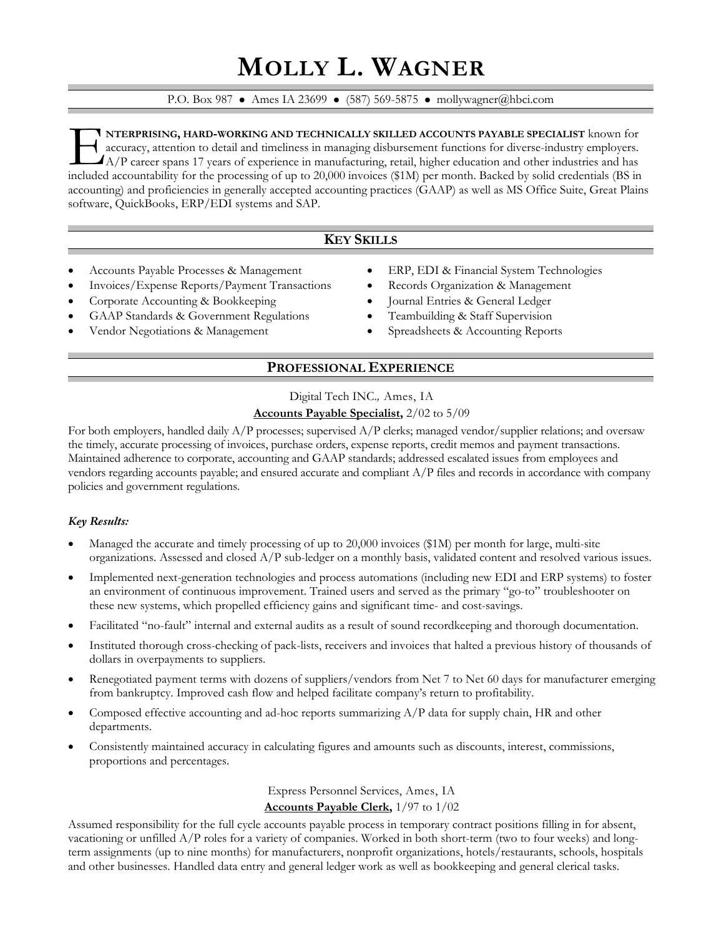# **MOLLY L. WAGNER**

#### P.O. Box 987 • Ames IA 23699 • (587) 569-5875 • mollywagner@hbci.com

**NTERPRISING, HARD-WORKING AND TECHNICALLY SKILLED ACCOUNTS PAYABLE SPECIALIST** known for accuracy, attention to detail and timeliness in managing disbursement functions for diverse-industry employers. A/P career spans 17 years of experience in manufacturing, retail, higher education and other industries and has INTERPRISING, HARD-WORKING AND TECHNICALLY SKILLED ACCOUNTS PAYABLE SPECIALIST known for accuracy, attention to detail and timeliness in managing disbursement functions for diverse-industry employers.<br>A/P career spans 17 y accounting) and proficiencies in generally accepted accounting practices (GAAP) as well as MS Office Suite, Great Plains software, QuickBooks, ERP/EDI systems and SAP.

# **KEY SKILLS**

- Accounts Payable Processes & Management
- Invoices/Expense Reports/Payment Transactions
- Corporate Accounting & Bookkeeping
- GAAP Standards & Government Regulations
- Vendor Negotiations & Management
- ERP, EDI & Financial System Technologies
- Records Organization & Management
- Journal Entries & General Ledger
- Teambuilding & Staff Supervision
- Spreadsheets & Accounting Reports

# **PROFESSIONAL EXPERIENCE**

## Digital Tech INC.*,* Ames, IA **Accounts Payable Specialist,** 2/02 to 5/09

For both employers, handled daily  $A/P$  processes; supervised  $A/P$  clerks; managed vendor/supplier relations; and oversaw the timely, accurate processing of invoices, purchase orders, expense reports, credit memos and payment transactions. Maintained adherence to corporate, accounting and GAAP standards; addressed escalated issues from employees and vendors regarding accounts payable; and ensured accurate and compliant A/P files and records in accordance with company policies and government regulations.

#### *Key Results:*

- Managed the accurate and timely processing of up to 20,000 invoices (\$1M) per month for large, multi-site organizations. Assessed and closed A/P sub-ledger on a monthly basis, validated content and resolved various issues.
- Implemented next-generation technologies and process automations (including new EDI and ERP systems) to foster an environment of continuous improvement. Trained users and served as the primary "go-to" troubleshooter on these new systems, which propelled efficiency gains and significant time- and cost-savings.
- Facilitated "no-fault" internal and external audits as a result of sound recordkeeping and thorough documentation.
- Instituted thorough cross-checking of pack-lists, receivers and invoices that halted a previous history of thousands of dollars in overpayments to suppliers.
- Renegotiated payment terms with dozens of suppliers/vendors from Net 7 to Net 60 days for manufacturer emerging from bankruptcy. Improved cash flow and helped facilitate company's return to profitability.
- Composed effective accounting and ad-hoc reports summarizing  $A/P$  data for supply chain, HR and other departments.
- Consistently maintained accuracy in calculating figures and amounts such as discounts, interest, commissions, proportions and percentages.

## Express Personnel Services, Ames, IA **Accounts Payable Clerk,** 1/97 to 1/02

Assumed responsibility for the full cycle accounts payable process in temporary contract positions filling in for absent, vacationing or unfilled A/P roles for a variety of companies. Worked in both short-term (two to four weeks) and longterm assignments (up to nine months) for manufacturers, nonprofit organizations, hotels/restaurants, schools, hospitals and other businesses. Handled data entry and general ledger work as well as bookkeeping and general clerical tasks.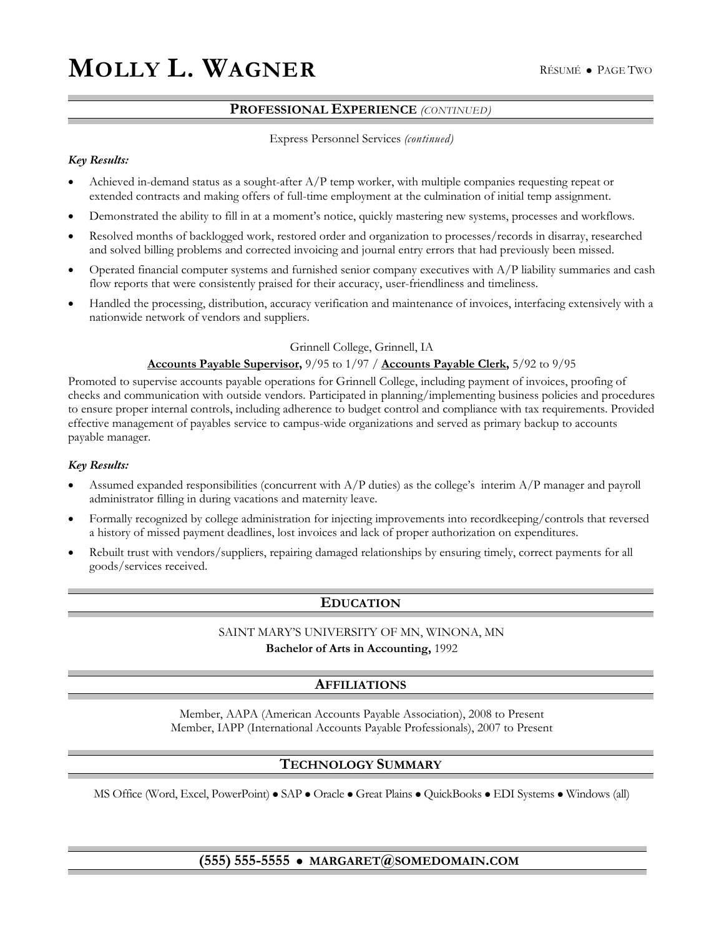## **PROFESSIONAL EXPERIENCE** *(CONTINUED)*

#### Express Personnel Services *(continued)*

#### *Key Results:*

- Achieved in-demand status as a sought-after  $A/P$  temp worker, with multiple companies requesting repeat or extended contracts and making offers of full-time employment at the culmination of initial temp assignment.
- Demonstrated the ability to fill in at a moment's notice, quickly mastering new systems, processes and workflows.
- Resolved months of backlogged work, restored order and organization to processes/records in disarray, researched and solved billing problems and corrected invoicing and journal entry errors that had previously been missed.
- Operated financial computer systems and furnished senior company executives with A/P liability summaries and cash flow reports that were consistently praised for their accuracy, user-friendliness and timeliness.
- Handled the processing, distribution, accuracy verification and maintenance of invoices, interfacing extensively with a nationwide network of vendors and suppliers.

#### Grinnell College, Grinnell, IA

#### **Accounts Payable Supervisor,** 9/95 to 1/97 / **Accounts Payable Clerk,** 5/92 to 9/95

Promoted to supervise accounts payable operations for Grinnell College, including payment of invoices, proofing of checks and communication with outside vendors. Participated in planning/implementing business policies and procedures to ensure proper internal controls, including adherence to budget control and compliance with tax requirements. Provided effective management of payables service to campus-wide organizations and served as primary backup to accounts payable manager.

#### *Key Results:*

- Assumed expanded responsibilities (concurrent with  $A/P$  duties) as the college's interim  $A/P$  manager and payroll administrator filling in during vacations and maternity leave.
- Formally recognized by college administration for injecting improvements into recordkeeping/controls that reversed a history of missed payment deadlines, lost invoices and lack of proper authorization on expenditures.
- Rebuilt trust with vendors/suppliers, repairing damaged relationships by ensuring timely, correct payments for all goods/services received.

#### **EDUCATION**

#### SAINT MARY'S UNIVERSITY OF MN, WINONA, MN

**Bachelor of Arts in Accounting,** 1992

#### **AFFILIATIONS**

Member, AAPA (American Accounts Payable Association), 2008 to Present Member, IAPP (International Accounts Payable Professionals), 2007 to Present

#### **TECHNOLOGY SUMMARY**

MS Office (Word, Excel, PowerPoint)  $\bullet$  SAP  $\bullet$  Oracle  $\bullet$  Great Plains  $\bullet$  QuickBooks  $\bullet$  EDI Systems  $\bullet$  Windows (all)

#### **(555) 555-5555** z **MARGARET@SOMEDOMAIN.COM**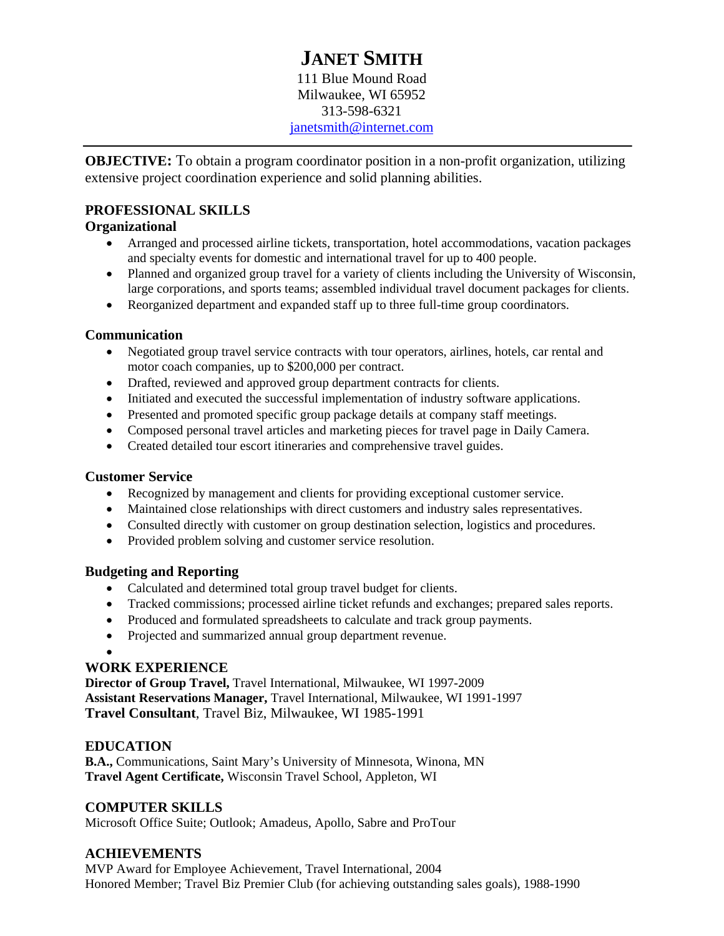# **JANET SMITH**

111 Blue Mound Road Milwaukee, WI 65952 313-598-6321 janetsmith@internet.com

**OBJECTIVE:** To obtain a program coordinator position in a non-profit organization, utilizing extensive project coordination experience and solid planning abilities.

# **PROFESSIONAL SKILLS**

# **Organizational**

- Arranged and processed airline tickets, transportation, hotel accommodations, vacation packages and specialty events for domestic and international travel for up to 400 people.
- Planned and organized group travel for a variety of clients including the University of Wisconsin, large corporations, and sports teams; assembled individual travel document packages for clients.
- Reorganized department and expanded staff up to three full-time group coordinators.

# **Communication**

- Negotiated group travel service contracts with tour operators, airlines, hotels, car rental and motor coach companies, up to \$200,000 per contract.
- Drafted, reviewed and approved group department contracts for clients.
- Initiated and executed the successful implementation of industry software applications.
- Presented and promoted specific group package details at company staff meetings.
- Composed personal travel articles and marketing pieces for travel page in Daily Camera.
- Created detailed tour escort itineraries and comprehensive travel guides.

# **Customer Service**

- Recognized by management and clients for providing exceptional customer service.
- Maintained close relationships with direct customers and industry sales representatives.
- Consulted directly with customer on group destination selection, logistics and procedures.
- Provided problem solving and customer service resolution.

# **Budgeting and Reporting**

- Calculated and determined total group travel budget for clients.
- Tracked commissions; processed airline ticket refunds and exchanges; prepared sales reports.
- Produced and formulated spreadsheets to calculate and track group payments.
- Projected and summarized annual group department revenue.

•

# **WORK EXPERIENCE**

**Director of Group Travel,** Travel International, Milwaukee, WI 1997-2009 **Assistant Reservations Manager,** Travel International, Milwaukee, WI 1991-1997 **Travel Consultant**, Travel Biz, Milwaukee, WI 1985-1991

# **EDUCATION**

**B.A.,** Communications, Saint Mary's University of Minnesota, Winona, MN **Travel Agent Certificate,** Wisconsin Travel School, Appleton, WI

# **COMPUTER SKILLS**

Microsoft Office Suite; Outlook; Amadeus, Apollo*,* Sabre and ProTour

# **ACHIEVEMENTS**

MVP Award for Employee Achievement, Travel International, 2004 Honored Member; Travel Biz Premier Club (for achieving outstanding sales goals), 1988-1990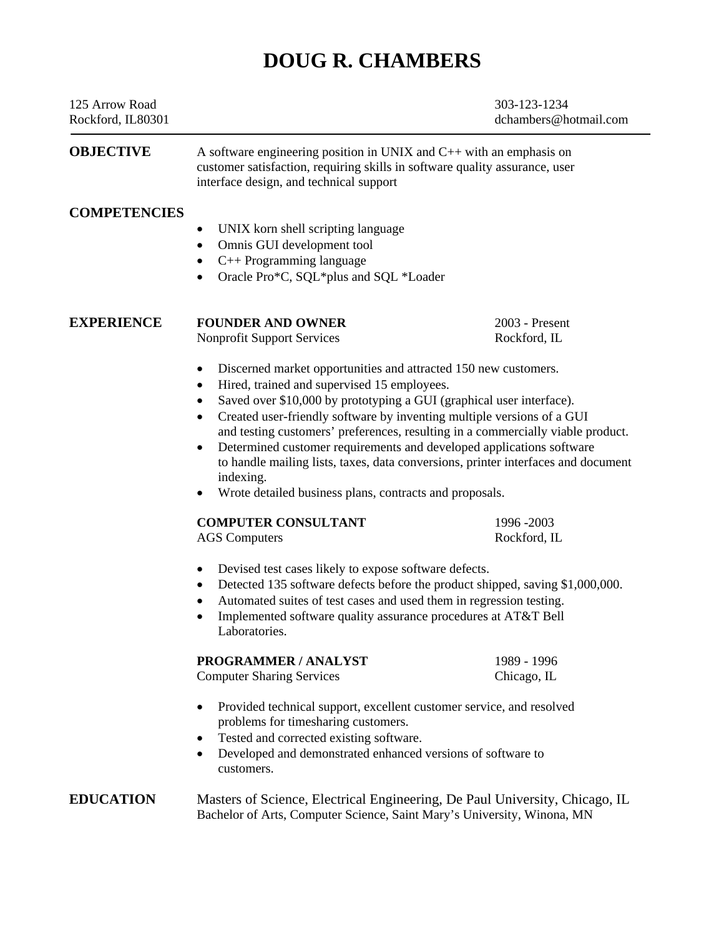# **DOUG R. CHAMBERS**

| 125 Arrow Road<br>Rockford, IL80301 |                                                                                                                                                                                                                                                                                                                                                                                                                                                                                                                                                                                                                              | 303-123-1234<br>dchambers@hotmail.com |
|-------------------------------------|------------------------------------------------------------------------------------------------------------------------------------------------------------------------------------------------------------------------------------------------------------------------------------------------------------------------------------------------------------------------------------------------------------------------------------------------------------------------------------------------------------------------------------------------------------------------------------------------------------------------------|---------------------------------------|
| <b>OBJECTIVE</b>                    | A software engineering position in UNIX and $C_{++}$ with an emphasis on<br>customer satisfaction, requiring skills in software quality assurance, user<br>interface design, and technical support                                                                                                                                                                                                                                                                                                                                                                                                                           |                                       |
| <b>COMPETENCIES</b>                 | UNIX korn shell scripting language<br>Omnis GUI development tool<br>$\bullet$<br>C++ Programming language<br>٠<br>Oracle Pro*C, SQL*plus and SQL *Loader<br>$\bullet$                                                                                                                                                                                                                                                                                                                                                                                                                                                        |                                       |
| <b>EXPERIENCE</b>                   | <b>FOUNDER AND OWNER</b><br><b>Nonprofit Support Services</b>                                                                                                                                                                                                                                                                                                                                                                                                                                                                                                                                                                | 2003 - Present<br>Rockford, IL        |
|                                     | Discerned market opportunities and attracted 150 new customers.<br>Hired, trained and supervised 15 employees.<br>٠<br>Saved over \$10,000 by prototyping a GUI (graphical user interface).<br>٠<br>Created user-friendly software by inventing multiple versions of a GUI<br>$\bullet$<br>and testing customers' preferences, resulting in a commercially viable product.<br>Determined customer requirements and developed applications software<br>$\bullet$<br>to handle mailing lists, taxes, data conversions, printer interfaces and document<br>indexing.<br>Wrote detailed business plans, contracts and proposals. |                                       |
|                                     | <b>COMPUTER CONSULTANT</b>                                                                                                                                                                                                                                                                                                                                                                                                                                                                                                                                                                                                   | 1996 - 2003                           |
|                                     | <b>AGS</b> Computers                                                                                                                                                                                                                                                                                                                                                                                                                                                                                                                                                                                                         | Rockford, IL                          |
|                                     | Devised test cases likely to expose software defects.<br>٠<br>Detected 135 software defects before the product shipped, saving \$1,000,000.<br>٠<br>Automated suites of test cases and used them in regression testing.<br>Implemented software quality assurance procedures at AT&T Bell<br>Laboratories.                                                                                                                                                                                                                                                                                                                   |                                       |
|                                     | <b>PROGRAMMER / ANALYST</b>                                                                                                                                                                                                                                                                                                                                                                                                                                                                                                                                                                                                  | 1989 - 1996                           |
|                                     | <b>Computer Sharing Services</b>                                                                                                                                                                                                                                                                                                                                                                                                                                                                                                                                                                                             | Chicago, IL                           |
|                                     | Provided technical support, excellent customer service, and resolved<br>٠<br>problems for timesharing customers.<br>Tested and corrected existing software.<br>٠<br>Developed and demonstrated enhanced versions of software to<br>٠<br>customers.                                                                                                                                                                                                                                                                                                                                                                           |                                       |
| <b>EDUCATION</b>                    | Masters of Science, Electrical Engineering, De Paul University, Chicago, IL<br>Bachelor of Arts, Computer Science, Saint Mary's University, Winona, MN                                                                                                                                                                                                                                                                                                                                                                                                                                                                       |                                       |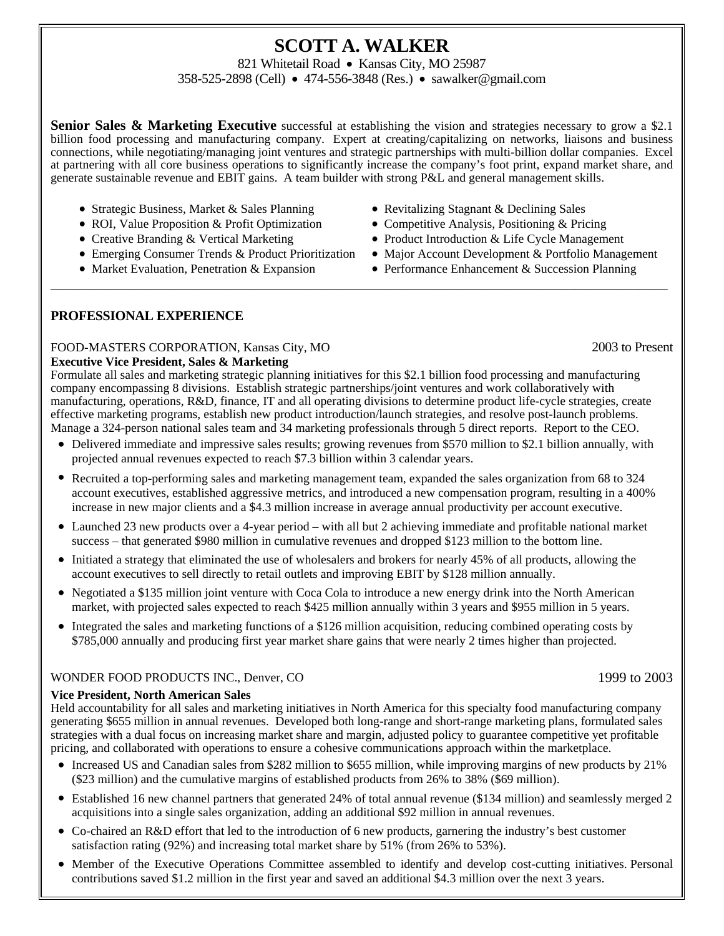# **SCOTT A. WALKER**

821 Whitetail Road • Kansas City, MO 25987

358-525-2898 (Cell) • 474-556-3848 (Res.) • sawalker@gmail.com

**Senior Sales & Marketing Executive** successful at establishing the vision and strategies necessary to grow a \$2.1 billion food processing and manufacturing company. Expert at creating/capitalizing on networks, liaisons and business connections, while negotiating/managing joint ventures and strategic partnerships with multi-billion dollar companies. Excel at partnering with all core business operations to significantly increase the company's foot print, expand market share, and generate sustainable revenue and EBIT gains. A team builder with strong P&L and general management skills.

\_\_\_\_\_\_\_\_\_\_\_\_\_\_\_\_\_\_\_\_\_\_\_\_\_\_\_\_\_\_\_\_\_\_\_\_\_\_\_\_\_\_\_\_\_\_\_\_\_\_\_\_\_\_\_\_\_\_\_\_\_\_\_\_\_\_\_\_\_\_\_\_\_\_\_\_\_\_\_\_\_\_\_\_\_\_\_

- Strategic Business, Market & Sales Planning Revitalizing Stagnant & Declining Sales
- ROI, Value Proposition & Profit Optimization Competitive Analysis, Positioning & Pricing
- 
- 
- 
- 
- 
- Creative Branding & Vertical Marketing Product Introduction & Life Cycle Management
- Emerging Consumer Trends & Product Prioritization Major Account Development & Portfolio Management
- Market Evaluation, Penetration & Expansion Performance Enhancement & Succession Planning

# **PROFESSIONAL EXPERIENCE**

## FOOD-MASTERS CORPORATION, Kansas City, MO 2003 to Present

#### **Executive Vice President, Sales & Marketing**

Formulate all sales and marketing strategic planning initiatives for this \$2.1 billion food processing and manufacturing company encompassing 8 divisions. Establish strategic partnerships/joint ventures and work collaboratively with manufacturing, operations, R&D, finance, IT and all operating divisions to determine product life-cycle strategies, create effective marketing programs, establish new product introduction/launch strategies, and resolve post-launch problems. Manage a 324-person national sales team and 34 marketing professionals through 5 direct reports. Report to the CEO.

- Delivered immediate and impressive sales results; growing revenues from \$570 million to \$2.1 billion annually, with projected annual revenues expected to reach \$7.3 billion within 3 calendar years.
- Recruited a top-performing sales and marketing management team, expanded the sales organization from 68 to 324 account executives, established aggressive metrics, and introduced a new compensation program, resulting in a 400% increase in new major clients and a \$4.3 million increase in average annual productivity per account executive.
- Launched 23 new products over a 4-year period with all but 2 achieving immediate and profitable national market success – that generated \$980 million in cumulative revenues and dropped \$123 million to the bottom line.
- Initiated a strategy that eliminated the use of wholesalers and brokers for nearly 45% of all products, allowing the account executives to sell directly to retail outlets and improving EBIT by \$128 million annually.
- Negotiated a \$135 million joint venture with Coca Cola to introduce a new energy drink into the North American market, with projected sales expected to reach \$425 million annually within 3 years and \$955 million in 5 years.
- Integrated the sales and marketing functions of a \$126 million acquisition, reducing combined operating costs by \$785,000 annually and producing first year market share gains that were nearly 2 times higher than projected.

#### WONDER FOOD PRODUCTS INC., Denver, CO 1999 to 2003

#### **Vice President, North American Sales**

Held accountability for all sales and marketing initiatives in North America for this specialty food manufacturing company generating \$655 million in annual revenues. Developed both long-range and short-range marketing plans, formulated sales strategies with a dual focus on increasing market share and margin, adjusted policy to guarantee competitive yet profitable pricing, and collaborated with operations to ensure a cohesive communications approach within the marketplace.

- Increased US and Canadian sales from \$282 million to \$655 million, while improving margins of new products by 21% (\$23 million) and the cumulative margins of established products from 26% to 38% (\$69 million).
- Established 16 new channel partners that generated 24% of total annual revenue (\$134 million) and seamlessly merged 2 acquisitions into a single sales organization, adding an additional \$92 million in annual revenues.
- Co-chaired an R&D effort that led to the introduction of 6 new products, garnering the industry's best customer satisfaction rating (92%) and increasing total market share by 51% (from 26% to 53%).
- Member of the Executive Operations Committee assembled to identify and develop cost-cutting initiatives. Personal contributions saved \$1.2 million in the first year and saved an additional \$4.3 million over the next 3 years.